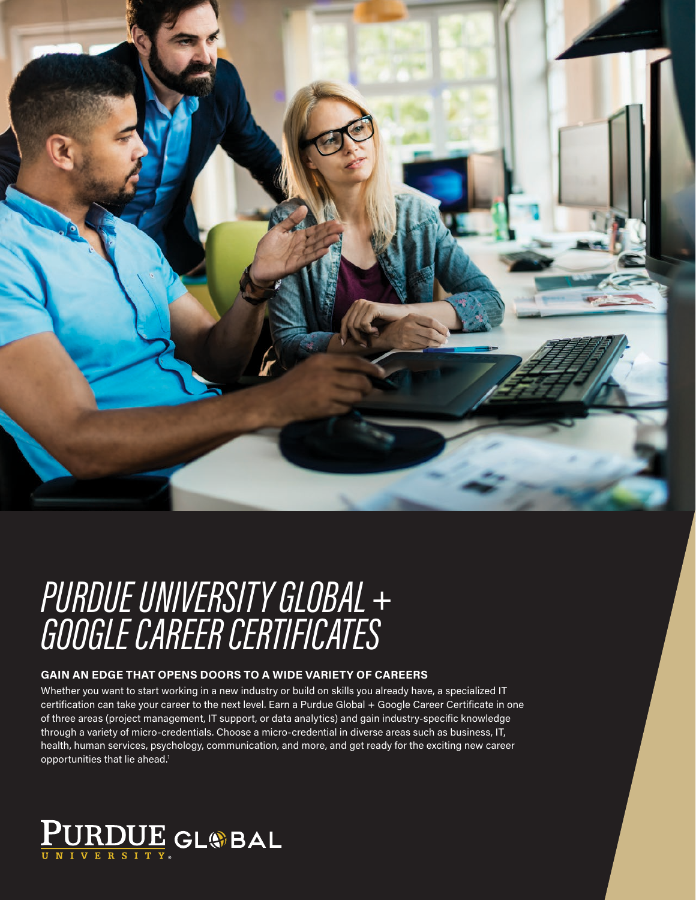

# PURDUE UNIVERSITY GLOBAL + GOOGLE CAREER CERTIFICATES

### **GAIN AN EDGE THAT OPENS DOORS TO A WIDE VARIETY OF CAREERS**

Whether you want to start working in a new industry or build on skills you already have, a specialized IT certification can take your career to the next level. Earn a Purdue Global + Google Career Certificate in one of three areas (project management, IT support, or data analytics) and gain industry-specific knowledge through a variety of micro-credentials. Choose a micro-credential in diverse areas such as business, IT, health, human services, psychology, communication, and more, and get ready for the exciting new career opportunities that lie ahead.<sup>1</sup>

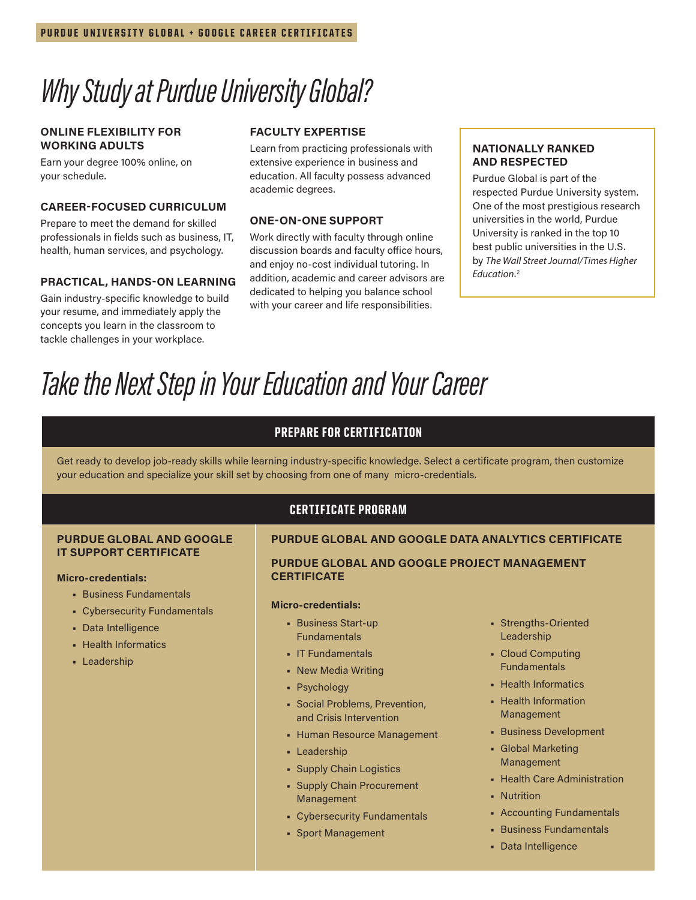## *Why Study at Purdue University Global?*

#### **ONLINE FLEXIBILITY FOR WORKING ADULTS**

Earn your degree 100% online, on your schedule.

#### **CAREER-FOCUSED CURRICULUM**

Prepare to meet the demand for skilled professionals in fields such as business, IT, health, human services, and psychology.

#### **PRACTICAL, HANDS-ON LEARNING**

Gain industry-specific knowledge to build your resume, and immediately apply the concepts you learn in the classroom to tackle challenges in your workplace.

#### **FACULTY EXPERTISE**

Learn from practicing professionals with extensive experience in business and education. All faculty possess advanced academic degrees.

#### **ONE-ON-ONE SUPPORT**

Work directly with faculty through online discussion boards and faculty office hours, and enjoy no-cost individual tutoring. In addition, academic and career advisors are dedicated to helping you balance school with your career and life responsibilities.

#### **NATIONALLY RANKED AND RESPECTED**

Purdue Global is part of the respected Purdue University system. One of the most prestigious research universities in the world, Purdue University is ranked in the top 10 best public universities in the U.S. by *The Wall Street Journal/Times Higher Education*. 2

## *Take the Next Step in Your Education and Your Career*

#### PREPARE FOR CERTIFICATION

Get ready to develop job-ready skills while learning industry-specific knowledge. Select a certificate program, then customize your education and specialize your skill set by choosing from one of many micro-credentials.

#### CERTIFICATE PROGRAM

### **PURDUE GLOBAL AND GOOGLE DATA ANALYTICS CERTIFICATE**

**PURDUE GLOBAL AND GOOGLE PROJECT MANAGEMENT CERTIFICATE**

#### **Micro-credentials:**

- **•** Business Start-up Fundamentals
- **•** IT Fundamentals
- **•** New Media Writing
- **•** Psychology
- **•** Social Problems, Prevention, and Crisis Intervention
- **•** Human Resource Management
- **•** Leadership
- **•** Supply Chain Logistics
- **•** Supply Chain Procurement Management
- **•** Cybersecurity Fundamentals
- **•** Sport Management
- **•** Strengths-Oriented Leadership
- **•** Cloud Computing Fundamentals
- **•** Health Informatics
- **•** Health Information Management
- **•** Business Development
- **•** Global Marketing Management
- **•** Health Care Administration
- **•** Nutrition
- **•** Accounting Fundamentals
- **•** Business Fundamentals
- **•** Data Intelligence

#### **PURDUE GLOBAL AND GOOGLE IT SUPPORT CERTIFICATE**

#### **Micro-credentials:**

- **•** Business Fundamentals
- **•** Cybersecurity Fundamentals
- **•** Data Intelligence
- **•** Health Informatics
- **•** Leadership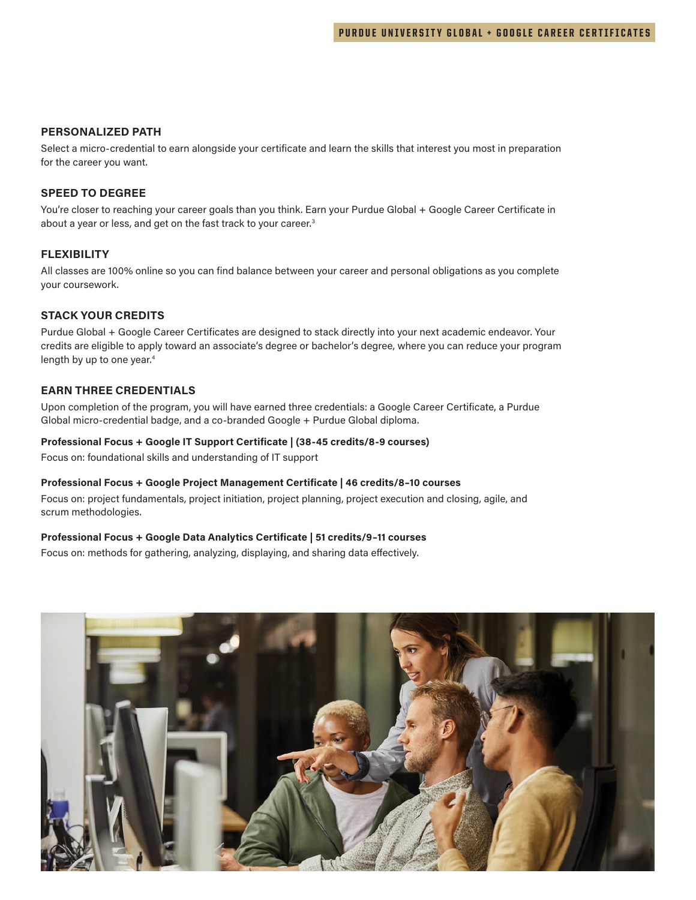#### **PERSONALIZED PATH**

Select a micro-credential to earn alongside your certificate and learn the skills that interest you most in preparation for the career you want.

#### **SPEED TO DEGREE**

You're closer to reaching your career goals than you think. Earn your Purdue Global + Google Career Certificate in about a year or less, and get on the fast track to your career.<sup>3</sup>

#### **FLEXIBILITY**

All classes are 100% online so you can find balance between your career and personal obligations as you complete your coursework.

#### **STACK YOUR CREDITS**

Purdue Global + Google Career Certificates are designed to stack directly into your next academic endeavor. Your credits are eligible to apply toward an associate's degree or bachelor's degree, where you can reduce your program length by up to one year.<sup>4</sup>

#### **EARN THREE CREDENTIALS**

Upon completion of the program, you will have earned three credentials: a Google Career Certificate, a Purdue Global micro-credential badge, and a co-branded Google + Purdue Global diploma.

#### **Professional Focus + Google IT Support Certificate | (38-45 credits/8-9 courses)**

Focus on: foundational skills and understanding of IT support

#### **Professional Focus + Google Project Management Certificate | 46 credits/8–10 courses**

Focus on: project fundamentals, project initiation, project planning, project execution and closing, agile, and scrum methodologies.

#### **Professional Focus + Google Data Analytics Certificate | 51 credits/9–11 courses**

Focus on: methods for gathering, analyzing, displaying, and sharing data effectively.